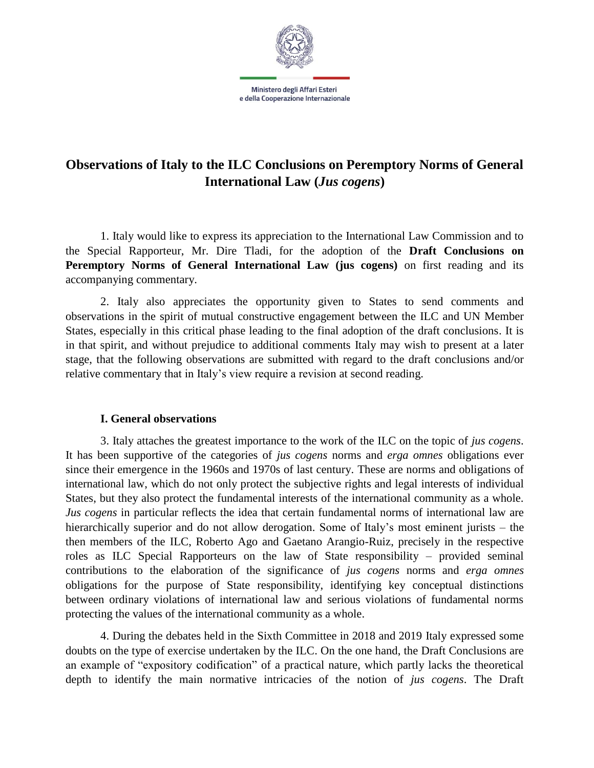

# **Observations of Italy to the ILC Conclusions on Peremptory Norms of General International Law (***Jus cogens***)**

1. Italy would like to express its appreciation to the International Law Commission and to the Special Rapporteur, Mr. Dire Tladi, for the adoption of the **Draft Conclusions on Peremptory Norms of General International Law (jus cogens)** on first reading and its accompanying commentary.

2. Italy also appreciates the opportunity given to States to send comments and observations in the spirit of mutual constructive engagement between the ILC and UN Member States, especially in this critical phase leading to the final adoption of the draft conclusions. It is in that spirit, and without prejudice to additional comments Italy may wish to present at a later stage, that the following observations are submitted with regard to the draft conclusions and/or relative commentary that in Italy's view require a revision at second reading.

#### **I. General observations**

3. Italy attaches the greatest importance to the work of the ILC on the topic of *jus cogens*. It has been supportive of the categories of *jus cogens* norms and *erga omnes* obligations ever since their emergence in the 1960s and 1970s of last century. These are norms and obligations of international law, which do not only protect the subjective rights and legal interests of individual States, but they also protect the fundamental interests of the international community as a whole. *Jus cogens* in particular reflects the idea that certain fundamental norms of international law are hierarchically superior and do not allow derogation. Some of Italy's most eminent jurists – the then members of the ILC, Roberto Ago and Gaetano Arangio-Ruiz, precisely in the respective roles as ILC Special Rapporteurs on the law of State responsibility – provided seminal contributions to the elaboration of the significance of *jus cogens* norms and *erga omnes*  obligations for the purpose of State responsibility, identifying key conceptual distinctions between ordinary violations of international law and serious violations of fundamental norms protecting the values of the international community as a whole.

4. During the debates held in the Sixth Committee in 2018 and 2019 Italy expressed some doubts on the type of exercise undertaken by the ILC. On the one hand, the Draft Conclusions are an example of "expository codification" of a practical nature, which partly lacks the theoretical depth to identify the main normative intricacies of the notion of *jus cogens*. The Draft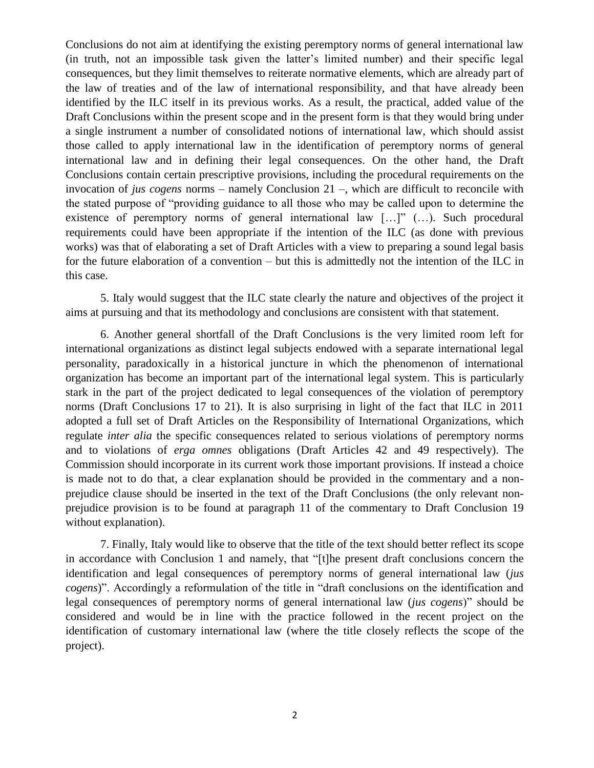Conclusions do not aim at identifying the existing peremptory norms of general international law (in truth, not an impossible task given the latter's limited number) and their specific legal consequences, but they limit themselves to reiterate normative elements, which are already part of the law of treaties and of the law of international responsibility, and that have already been identified by the ILC itself in its previous works. As a result, the practical, added value of the Draft Conclusions within the present scope and in the present form is that they would bring under a single instrument a number of consolidated notions of international law, which should assist those called to apply international law in the identification of peremptory norms of general international law and in defining their legal consequences. On the other hand, the Draft Conclusions contain certain prescriptive provisions, including the procedural requirements on the invocation of *jus cogens* norms – namely Conclusion 21 –, which are difficult to reconcile with the stated purpose of "providing guidance to all those who may be called upon to determine the existence of peremptory norms of general international law […]" (…). Such procedural requirements could have been appropriate if the intention of the ILC (as done with previous works) was that of elaborating a set of Draft Articles with a view to preparing a sound legal basis for the future elaboration of a convention – but this is admittedly not the intention of the ILC in this case.

5. Italy would suggest that the ILC state clearly the nature and objectives of the project it aims at pursuing and that its methodology and conclusions are consistent with that statement.

6. Another general shortfall of the Draft Conclusions is the very limited room left for international organizations as distinct legal subjects endowed with a separate international legal personality, paradoxically in a historical juncture in which the phenomenon of international organization has become an important part of the international legal system. This is particularly stark in the part of the project dedicated to legal consequences of the violation of peremptory norms (Draft Conclusions 17 to 21). It is also surprising in light of the fact that ILC in 2011 adopted a full set of Draft Articles on the Responsibility of International Organizations, which regulate *inter alia* the specific consequences related to serious violations of peremptory norms and to violations of *erga omnes* obligations (Draft Articles 42 and 49 respectively). The Commission should incorporate in its current work those important provisions. If instead a choice is made not to do that, a clear explanation should be provided in the commentary and a nonprejudice clause should be inserted in the text of the Draft Conclusions (the only relevant nonprejudice provision is to be found at paragraph 11 of the commentary to Draft Conclusion 19 without explanation).

7. Finally, Italy would like to observe that the title of the text should better reflect its scope in accordance with Conclusion 1 and namely, that "[t]he present draft conclusions concern the identification and legal consequences of peremptory norms of general international law (*jus cogens*)". Accordingly a reformulation of the title in "draft conclusions on the identification and legal consequences of peremptory norms of general international law (*jus cogens*)" should be considered and would be in line with the practice followed in the recent project on the identification of customary international law (where the title closely reflects the scope of the project).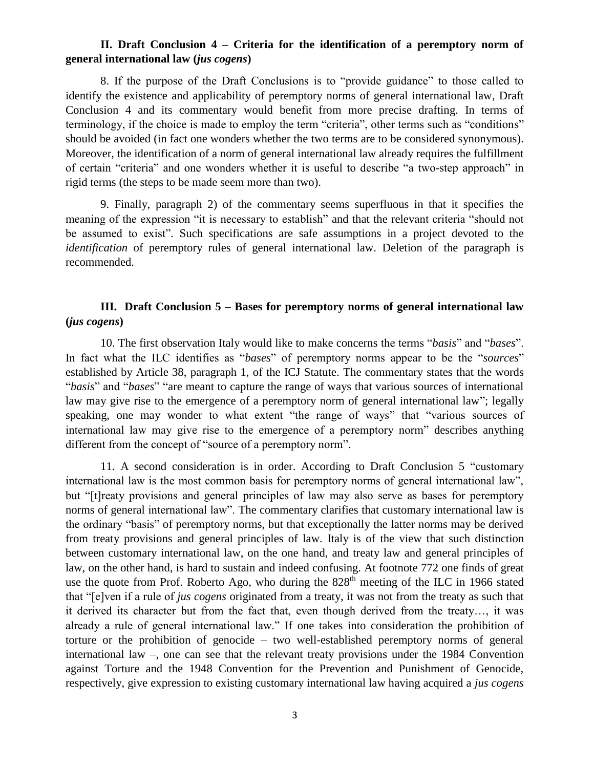# **II. Draft Conclusion 4 – Criteria for the identification of a peremptory norm of general international law (***jus cogens***)**

8. If the purpose of the Draft Conclusions is to "provide guidance" to those called to identify the existence and applicability of peremptory norms of general international law, Draft Conclusion 4 and its commentary would benefit from more precise drafting. In terms of terminology, if the choice is made to employ the term "criteria", other terms such as "conditions" should be avoided (in fact one wonders whether the two terms are to be considered synonymous). Moreover, the identification of a norm of general international law already requires the fulfillment of certain "criteria" and one wonders whether it is useful to describe "a two-step approach" in rigid terms (the steps to be made seem more than two).

9. Finally, paragraph 2) of the commentary seems superfluous in that it specifies the meaning of the expression "it is necessary to establish" and that the relevant criteria "should not be assumed to exist". Such specifications are safe assumptions in a project devoted to the *identification* of peremptory rules of general international law. Deletion of the paragraph is recommended.

# **III. Draft Conclusion 5 – Bases for peremptory norms of general international law (***jus cogens***)**

10. The first observation Italy would like to make concerns the terms "*basis*" and "*bases*". In fact what the ILC identifies as "*bases*" of peremptory norms appear to be the "*sources*" established by Article 38, paragraph 1, of the ICJ Statute. The commentary states that the words "*basis*" and "*bases*" "are meant to capture the range of ways that various sources of international law may give rise to the emergence of a peremptory norm of general international law"; legally speaking, one may wonder to what extent "the range of ways" that "various sources of international law may give rise to the emergence of a peremptory norm" describes anything different from the concept of "source of a peremptory norm".

11. A second consideration is in order. According to Draft Conclusion 5 "customary international law is the most common basis for peremptory norms of general international law", but "[t]reaty provisions and general principles of law may also serve as bases for peremptory norms of general international law". The commentary clarifies that customary international law is the ordinary "basis" of peremptory norms, but that exceptionally the latter norms may be derived from treaty provisions and general principles of law. Italy is of the view that such distinction between customary international law, on the one hand, and treaty law and general principles of law, on the other hand, is hard to sustain and indeed confusing. At footnote 772 one finds of great use the quote from Prof. Roberto Ago, who during the 828<sup>th</sup> meeting of the ILC in 1966 stated that "[e]ven if a rule of *jus cogens* originated from a treaty, it was not from the treaty as such that it derived its character but from the fact that, even though derived from the treaty…, it was already a rule of general international law." If one takes into consideration the prohibition of torture or the prohibition of genocide – two well-established peremptory norms of general international law –, one can see that the relevant treaty provisions under the 1984 Convention against Torture and the 1948 Convention for the Prevention and Punishment of Genocide, respectively, give expression to existing customary international law having acquired a *jus cogens*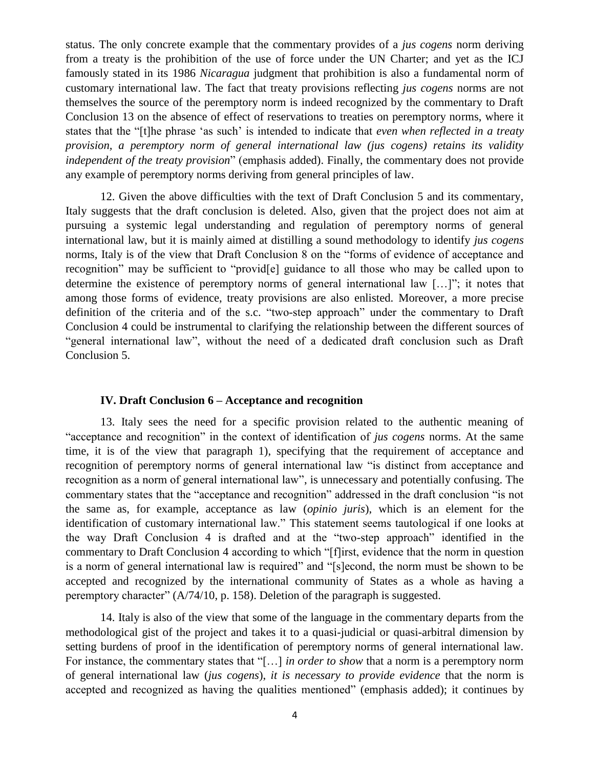status. The only concrete example that the commentary provides of a *jus cogens* norm deriving from a treaty is the prohibition of the use of force under the UN Charter; and yet as the ICJ famously stated in its 1986 *Nicaragua* judgment that prohibition is also a fundamental norm of customary international law. The fact that treaty provisions reflecting *jus cogens* norms are not themselves the source of the peremptory norm is indeed recognized by the commentary to Draft Conclusion 13 on the absence of effect of reservations to treaties on peremptory norms, where it states that the "[t]he phrase 'as such' is intended to indicate that *even when reflected in a treaty provision, a peremptory norm of general international law (jus cogens) retains its validity independent of the treaty provision*" (emphasis added). Finally, the commentary does not provide any example of peremptory norms deriving from general principles of law.

12. Given the above difficulties with the text of Draft Conclusion 5 and its commentary, Italy suggests that the draft conclusion is deleted. Also, given that the project does not aim at pursuing a systemic legal understanding and regulation of peremptory norms of general international law, but it is mainly aimed at distilling a sound methodology to identify *jus cogens*  norms, Italy is of the view that Draft Conclusion 8 on the "forms of evidence of acceptance and recognition" may be sufficient to "provid[e] guidance to all those who may be called upon to determine the existence of peremptory norms of general international law […]"; it notes that among those forms of evidence, treaty provisions are also enlisted. Moreover, a more precise definition of the criteria and of the s.c. "two-step approach" under the commentary to Draft Conclusion 4 could be instrumental to clarifying the relationship between the different sources of "general international law", without the need of a dedicated draft conclusion such as Draft Conclusion 5.

#### **IV. Draft Conclusion 6 – Acceptance and recognition**

13. Italy sees the need for a specific provision related to the authentic meaning of "acceptance and recognition" in the context of identification of *jus cogens* norms. At the same time, it is of the view that paragraph 1), specifying that the requirement of acceptance and recognition of peremptory norms of general international law "is distinct from acceptance and recognition as a norm of general international law", is unnecessary and potentially confusing. The commentary states that the "acceptance and recognition" addressed in the draft conclusion "is not the same as, for example, acceptance as law (*opinio juris*), which is an element for the identification of customary international law." This statement seems tautological if one looks at the way Draft Conclusion 4 is drafted and at the "two-step approach" identified in the commentary to Draft Conclusion 4 according to which "[f]irst, evidence that the norm in question is a norm of general international law is required" and "[s]econd, the norm must be shown to be accepted and recognized by the international community of States as a whole as having a peremptory character" (A/74/10, p. 158). Deletion of the paragraph is suggested.

14. Italy is also of the view that some of the language in the commentary departs from the methodological gist of the project and takes it to a quasi-judicial or quasi-arbitral dimension by setting burdens of proof in the identification of peremptory norms of general international law. For instance, the commentary states that "[…] *in order to show* that a norm is a peremptory norm of general international law (*jus cogens*), *it is necessary to provide evidence* that the norm is accepted and recognized as having the qualities mentioned" (emphasis added); it continues by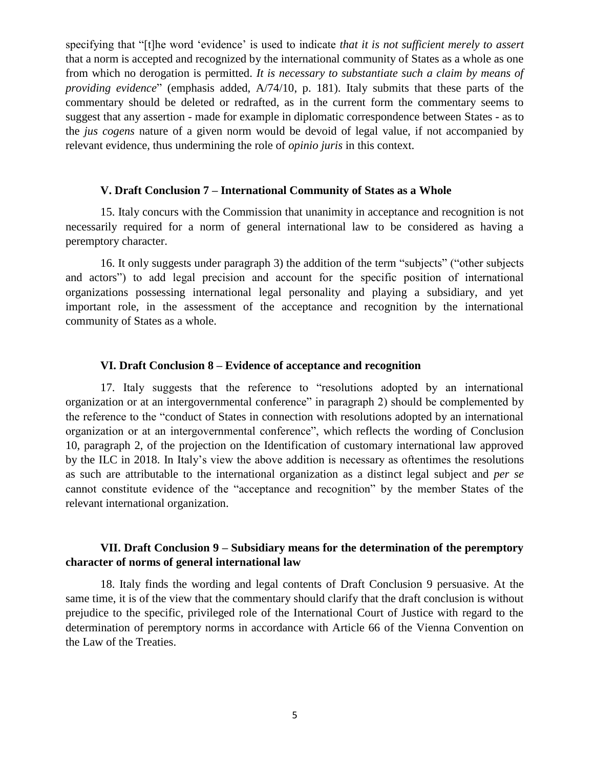specifying that "[t]he word 'evidence' is used to indicate *that it is not sufficient merely to assert* that a norm is accepted and recognized by the international community of States as a whole as one from which no derogation is permitted. *It is necessary to substantiate such a claim by means of providing evidence*" (emphasis added, A/74/10, p. 181). Italy submits that these parts of the commentary should be deleted or redrafted, as in the current form the commentary seems to suggest that any assertion - made for example in diplomatic correspondence between States - as to the *jus cogens* nature of a given norm would be devoid of legal value, if not accompanied by relevant evidence, thus undermining the role of *opinio juris* in this context.

#### **V. Draft Conclusion 7 – International Community of States as a Whole**

15. Italy concurs with the Commission that unanimity in acceptance and recognition is not necessarily required for a norm of general international law to be considered as having a peremptory character.

16. It only suggests under paragraph 3) the addition of the term "subjects" ("other subjects and actors") to add legal precision and account for the specific position of international organizations possessing international legal personality and playing a subsidiary, and yet important role, in the assessment of the acceptance and recognition by the international community of States as a whole.

### **VI. Draft Conclusion 8 – Evidence of acceptance and recognition**

17. Italy suggests that the reference to "resolutions adopted by an international organization or at an intergovernmental conference" in paragraph 2) should be complemented by the reference to the "conduct of States in connection with resolutions adopted by an international organization or at an intergovernmental conference", which reflects the wording of Conclusion 10, paragraph 2, of the projection on the Identification of customary international law approved by the ILC in 2018. In Italy's view the above addition is necessary as oftentimes the resolutions as such are attributable to the international organization as a distinct legal subject and *per se*  cannot constitute evidence of the "acceptance and recognition" by the member States of the relevant international organization.

### **VII. Draft Conclusion 9 – Subsidiary means for the determination of the peremptory character of norms of general international law**

18. Italy finds the wording and legal contents of Draft Conclusion 9 persuasive. At the same time, it is of the view that the commentary should clarify that the draft conclusion is without prejudice to the specific, privileged role of the International Court of Justice with regard to the determination of peremptory norms in accordance with Article 66 of the Vienna Convention on the Law of the Treaties.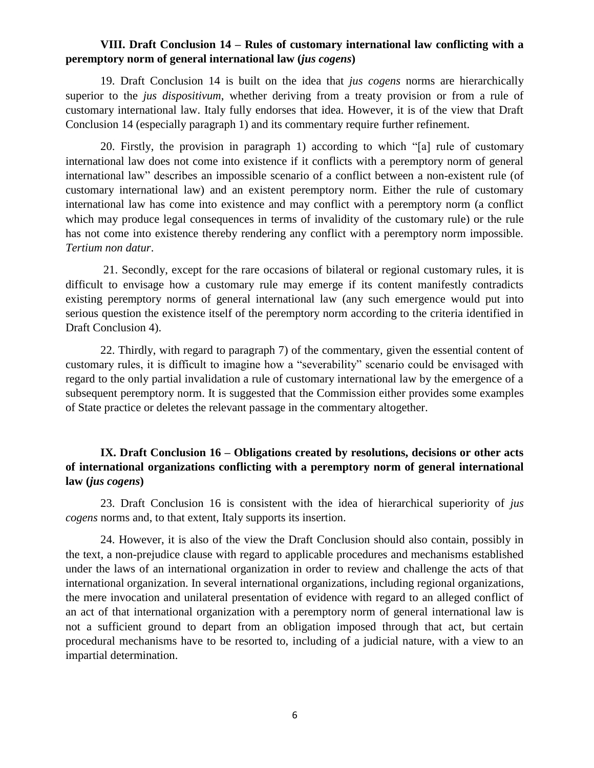### **VIII. Draft Conclusion 14 – Rules of customary international law conflicting with a peremptory norm of general international law (***jus cogens***)**

19. Draft Conclusion 14 is built on the idea that *jus cogens* norms are hierarchically superior to the *jus dispositivum*, whether deriving from a treaty provision or from a rule of customary international law. Italy fully endorses that idea. However, it is of the view that Draft Conclusion 14 (especially paragraph 1) and its commentary require further refinement.

20. Firstly, the provision in paragraph 1) according to which "[a] rule of customary international law does not come into existence if it conflicts with a peremptory norm of general international law" describes an impossible scenario of a conflict between a non-existent rule (of customary international law) and an existent peremptory norm. Either the rule of customary international law has come into existence and may conflict with a peremptory norm (a conflict which may produce legal consequences in terms of invalidity of the customary rule) or the rule has not come into existence thereby rendering any conflict with a peremptory norm impossible. *Tertium non datur*.

21. Secondly, except for the rare occasions of bilateral or regional customary rules, it is difficult to envisage how a customary rule may emerge if its content manifestly contradicts existing peremptory norms of general international law (any such emergence would put into serious question the existence itself of the peremptory norm according to the criteria identified in Draft Conclusion 4).

22. Thirdly, with regard to paragraph 7) of the commentary, given the essential content of customary rules, it is difficult to imagine how a "severability" scenario could be envisaged with regard to the only partial invalidation a rule of customary international law by the emergence of a subsequent peremptory norm. It is suggested that the Commission either provides some examples of State practice or deletes the relevant passage in the commentary altogether.

# **IX. Draft Conclusion 16 – Obligations created by resolutions, decisions or other acts of international organizations conflicting with a peremptory norm of general international law (***jus cogens***)**

23. Draft Conclusion 16 is consistent with the idea of hierarchical superiority of *jus cogens* norms and, to that extent, Italy supports its insertion.

24. However, it is also of the view the Draft Conclusion should also contain, possibly in the text, a non-prejudice clause with regard to applicable procedures and mechanisms established under the laws of an international organization in order to review and challenge the acts of that international organization. In several international organizations, including regional organizations, the mere invocation and unilateral presentation of evidence with regard to an alleged conflict of an act of that international organization with a peremptory norm of general international law is not a sufficient ground to depart from an obligation imposed through that act, but certain procedural mechanisms have to be resorted to, including of a judicial nature, with a view to an impartial determination.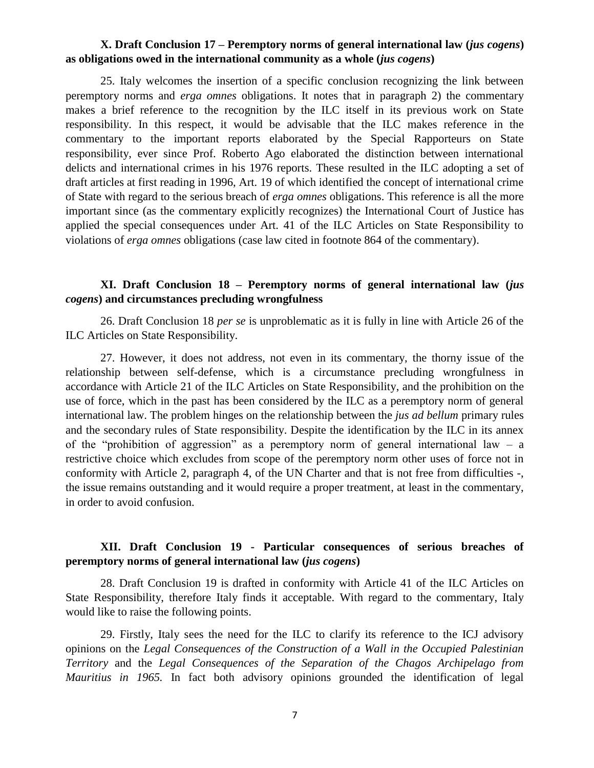### **X. Draft Conclusion 17 – Peremptory norms of general international law (***jus cogens***) as obligations owed in the international community as a whole (***jus cogens***)**

25. Italy welcomes the insertion of a specific conclusion recognizing the link between peremptory norms and *erga omnes* obligations. It notes that in paragraph 2) the commentary makes a brief reference to the recognition by the ILC itself in its previous work on State responsibility. In this respect, it would be advisable that the ILC makes reference in the commentary to the important reports elaborated by the Special Rapporteurs on State responsibility, ever since Prof. Roberto Ago elaborated the distinction between international delicts and international crimes in his 1976 reports. These resulted in the ILC adopting a set of draft articles at first reading in 1996, Art. 19 of which identified the concept of international crime of State with regard to the serious breach of *erga omnes* obligations. This reference is all the more important since (as the commentary explicitly recognizes) the International Court of Justice has applied the special consequences under Art. 41 of the ILC Articles on State Responsibility to violations of *erga omnes* obligations (case law cited in footnote 864 of the commentary).

# **XI. Draft Conclusion 18 – Peremptory norms of general international law (***jus cogens***) and circumstances precluding wrongfulness**

26. Draft Conclusion 18 *per se* is unproblematic as it is fully in line with Article 26 of the ILC Articles on State Responsibility.

27. However, it does not address, not even in its commentary, the thorny issue of the relationship between self-defense, which is a circumstance precluding wrongfulness in accordance with Article 21 of the ILC Articles on State Responsibility, and the prohibition on the use of force, which in the past has been considered by the ILC as a peremptory norm of general international law. The problem hinges on the relationship between the *jus ad bellum* primary rules and the secondary rules of State responsibility. Despite the identification by the ILC in its annex of the "prohibition of aggression" as a peremptory norm of general international law – a restrictive choice which excludes from scope of the peremptory norm other uses of force not in conformity with Article 2, paragraph 4, of the UN Charter and that is not free from difficulties -, the issue remains outstanding and it would require a proper treatment, at least in the commentary, in order to avoid confusion.

# **XII. Draft Conclusion 19 - Particular consequences of serious breaches of peremptory norms of general international law (***jus cogens***)**

28. Draft Conclusion 19 is drafted in conformity with Article 41 of the ILC Articles on State Responsibility, therefore Italy finds it acceptable. With regard to the commentary, Italy would like to raise the following points.

29. Firstly, Italy sees the need for the ILC to clarify its reference to the ICJ advisory opinions on the *Legal Consequences of the Construction of a Wall in the Occupied Palestinian Territory* and the *Legal Consequences of the Separation of the Chagos Archipelago from Mauritius in 1965.* In fact both advisory opinions grounded the identification of legal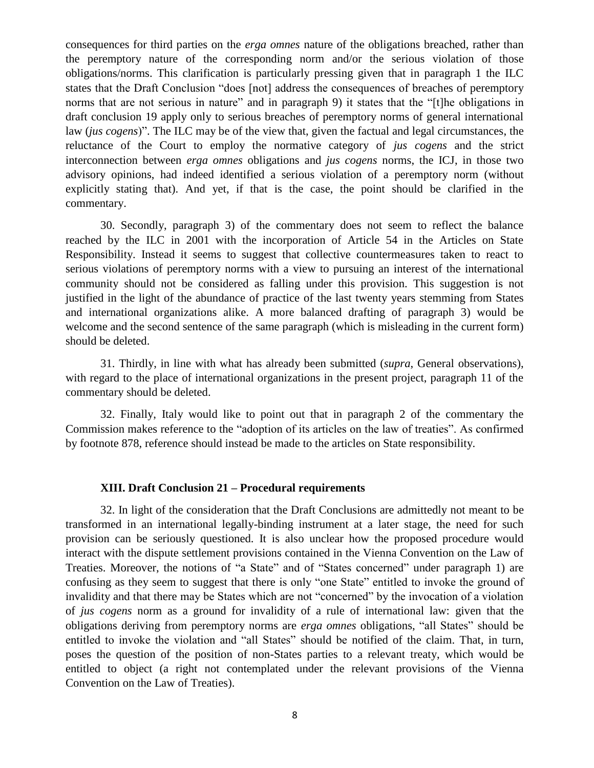consequences for third parties on the *erga omnes* nature of the obligations breached, rather than the peremptory nature of the corresponding norm and/or the serious violation of those obligations/norms. This clarification is particularly pressing given that in paragraph 1 the ILC states that the Draft Conclusion "does [not] address the consequences of breaches of peremptory norms that are not serious in nature" and in paragraph 9) it states that the "[t]he obligations in draft conclusion 19 apply only to serious breaches of peremptory norms of general international law (*jus cogens*)". The ILC may be of the view that, given the factual and legal circumstances, the reluctance of the Court to employ the normative category of *jus cogens* and the strict interconnection between *erga omnes* obligations and *jus cogens* norms, the ICJ, in those two advisory opinions, had indeed identified a serious violation of a peremptory norm (without explicitly stating that). And yet, if that is the case, the point should be clarified in the commentary.

30. Secondly, paragraph 3) of the commentary does not seem to reflect the balance reached by the ILC in 2001 with the incorporation of Article 54 in the Articles on State Responsibility. Instead it seems to suggest that collective countermeasures taken to react to serious violations of peremptory norms with a view to pursuing an interest of the international community should not be considered as falling under this provision. This suggestion is not justified in the light of the abundance of practice of the last twenty years stemming from States and international organizations alike. A more balanced drafting of paragraph 3) would be welcome and the second sentence of the same paragraph (which is misleading in the current form) should be deleted.

31. Thirdly, in line with what has already been submitted (*supra*, General observations), with regard to the place of international organizations in the present project, paragraph 11 of the commentary should be deleted.

32. Finally, Italy would like to point out that in paragraph 2 of the commentary the Commission makes reference to the "adoption of its articles on the law of treaties". As confirmed by footnote 878, reference should instead be made to the articles on State responsibility.

#### **XIII. Draft Conclusion 21 – Procedural requirements**

32. In light of the consideration that the Draft Conclusions are admittedly not meant to be transformed in an international legally-binding instrument at a later stage, the need for such provision can be seriously questioned. It is also unclear how the proposed procedure would interact with the dispute settlement provisions contained in the Vienna Convention on the Law of Treaties. Moreover, the notions of "a State" and of "States concerned" under paragraph 1) are confusing as they seem to suggest that there is only "one State" entitled to invoke the ground of invalidity and that there may be States which are not "concerned" by the invocation of a violation of *jus cogens* norm as a ground for invalidity of a rule of international law: given that the obligations deriving from peremptory norms are *erga omnes* obligations, "all States" should be entitled to invoke the violation and "all States" should be notified of the claim. That, in turn, poses the question of the position of non-States parties to a relevant treaty, which would be entitled to object (a right not contemplated under the relevant provisions of the Vienna Convention on the Law of Treaties).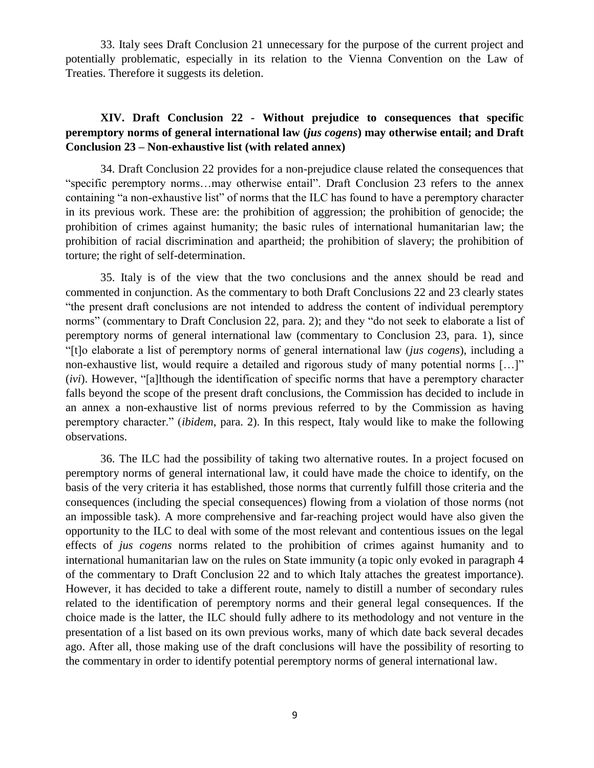33. Italy sees Draft Conclusion 21 unnecessary for the purpose of the current project and potentially problematic, especially in its relation to the Vienna Convention on the Law of Treaties. Therefore it suggests its deletion.

# **XIV. Draft Conclusion 22 - Without prejudice to consequences that specific peremptory norms of general international law (***jus cogens***) may otherwise entail; and Draft Conclusion 23 – Non-exhaustive list (with related annex)**

34. Draft Conclusion 22 provides for a non-prejudice clause related the consequences that "specific peremptory norms…may otherwise entail". Draft Conclusion 23 refers to the annex containing "a non-exhaustive list" of norms that the ILC has found to have a peremptory character in its previous work. These are: the prohibition of aggression; the prohibition of genocide; the prohibition of crimes against humanity; the basic rules of international humanitarian law; the prohibition of racial discrimination and apartheid; the prohibition of slavery; the prohibition of torture; the right of self-determination.

35. Italy is of the view that the two conclusions and the annex should be read and commented in conjunction. As the commentary to both Draft Conclusions 22 and 23 clearly states "the present draft conclusions are not intended to address the content of individual peremptory norms" (commentary to Draft Conclusion 22, para. 2); and they "do not seek to elaborate a list of peremptory norms of general international law (commentary to Conclusion 23, para. 1), since "[t]o elaborate a list of peremptory norms of general international law (*jus cogens*), including a non-exhaustive list, would require a detailed and rigorous study of many potential norms […]" (*ivi*). However, "[a]lthough the identification of specific norms that have a peremptory character falls beyond the scope of the present draft conclusions, the Commission has decided to include in an annex a non-exhaustive list of norms previous referred to by the Commission as having peremptory character." (*ibidem*, para. 2). In this respect, Italy would like to make the following observations.

36. The ILC had the possibility of taking two alternative routes. In a project focused on peremptory norms of general international law, it could have made the choice to identify, on the basis of the very criteria it has established, those norms that currently fulfill those criteria and the consequences (including the special consequences) flowing from a violation of those norms (not an impossible task). A more comprehensive and far-reaching project would have also given the opportunity to the ILC to deal with some of the most relevant and contentious issues on the legal effects of *jus cogens* norms related to the prohibition of crimes against humanity and to international humanitarian law on the rules on State immunity (a topic only evoked in paragraph 4 of the commentary to Draft Conclusion 22 and to which Italy attaches the greatest importance). However, it has decided to take a different route, namely to distill a number of secondary rules related to the identification of peremptory norms and their general legal consequences. If the choice made is the latter, the ILC should fully adhere to its methodology and not venture in the presentation of a list based on its own previous works, many of which date back several decades ago. After all, those making use of the draft conclusions will have the possibility of resorting to the commentary in order to identify potential peremptory norms of general international law.